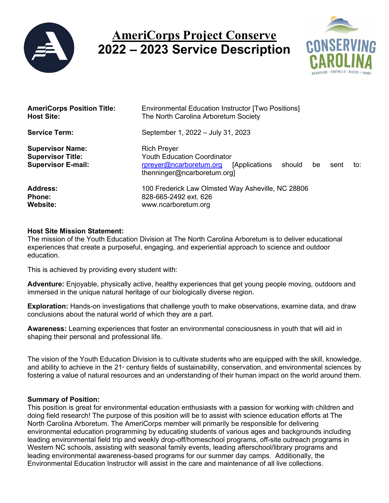

# **AmeriCorps Project Conserve 2022 – 2023 Service Description**



| <b>AmeriCorps Position Title:</b>                                                | Environmental Education Instructor [Two Positions]                                                                                                                       |
|----------------------------------------------------------------------------------|--------------------------------------------------------------------------------------------------------------------------------------------------------------------------|
| <b>Host Site:</b>                                                                | The North Carolina Arboretum Society                                                                                                                                     |
| <b>Service Term:</b>                                                             | September 1, 2022 - July 31, 2023                                                                                                                                        |
| <b>Supervisor Name:</b><br><b>Supervisor Title:</b><br><b>Supervisor E-mail:</b> | <b>Rich Preyer</b><br><b>Youth Education Coordinator</b><br>rpreyer@ncarboretum.org<br><b>Applications</b><br>should<br>be<br>sent<br>to:<br>thenninger@ncarboretum.org] |
| <b>Address:</b>                                                                  | 100 Frederick Law Olmsted Way Asheville, NC 28806                                                                                                                        |
| <b>Phone:</b>                                                                    | 828-665-2492 ext. 626                                                                                                                                                    |
| Website:                                                                         | www.ncarboretum.org                                                                                                                                                      |

### **Host Site Mission Statement:**

The mission of the Youth Education Division at The North Carolina Arboretum is to deliver educational experiences that create a purposeful, engaging, and experiential approach to science and outdoor education.

This is achieved by providing every student with:

**Adventure:** Enjoyable, physically active, healthy experiences that get young people moving, outdoors and immersed in the unique natural heritage of our biologically diverse region.

**Exploration:** Hands-on investigations that challenge youth to make observations, examine data, and draw conclusions about the natural world of which they are a part.

**Awareness:** Learning experiences that foster an environmental consciousness in youth that will aid in shaping their personal and professional life.

The vision of the Youth Education Division is to cultivate students who are equipped with the skill, knowledge, and ability to achieve in the 21<sup>st</sup> century fields of sustainability, conservation, and environmental sciences by fostering a value of natural resources and an understanding of their human impact on the world around them.

#### **Summary of Position:**

This position is great for environmental education enthusiasts with a passion for working with children and doing field research! The purpose of this position will be to assist with science education efforts at The North Carolina Arboretum. The AmeriCorps member will primarily be responsible for delivering environmental education programming by educating students of various ages and backgrounds including leading environmental field trip and weekly drop-off/homeschool programs, off-site outreach programs in Western NC schools, assisting with seasonal family events, leading afterschool/library programs and leading environmental awareness-based programs for our summer day camps. Additionally, the Environmental Education Instructor will assist in the care and maintenance of all live collections.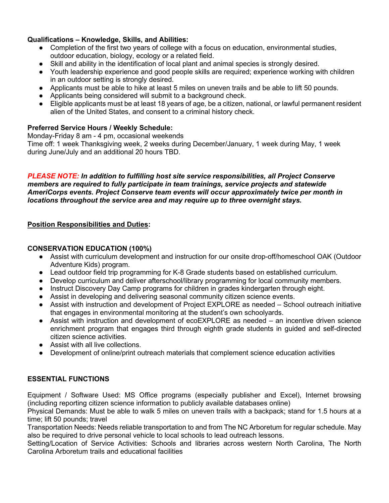# **Qualifications – Knowledge, Skills, and Abilities:**

- Completion of the first two years of college with a focus on education, environmental studies, outdoor education, biology, ecology or a related field.
- Skill and ability in the identification of local plant and animal species is strongly desired.
- Youth leadership experience and good people skills are required; experience working with children in an outdoor setting is strongly desired.
- Applicants must be able to hike at least 5 miles on uneven trails and be able to lift 50 pounds.
- Applicants being considered will submit to a background check.
- Eligible applicants must be at least 18 years of age, be a citizen, national, or lawful permanent resident alien of the United States, and consent to a criminal history check.

# **Preferred Service Hours / Weekly Schedule:**

Monday-Friday 8 am - 4 pm, occasional weekends Time off: 1 week Thanksgiving week, 2 weeks during December/January, 1 week during May, 1 week during June/July and an additional 20 hours TBD.

#### *PLEASE NOTE: In addition to fulfilling host site service responsibilities, all Project Conserve members are required to fully participate in team trainings, service projects and statewide AmeriCorps events. Project Conserve team events will occur approximately twice per month in locations throughout the service area and may require up to three overnight stays.*

### **Position Responsibilities and Duties:**

## **CONSERVATION EDUCATION (100%)**

- Assist with curriculum development and instruction for our onsite drop-off/homeschool OAK (Outdoor Adventure Kids) program.
- Lead outdoor field trip programming for K-8 Grade students based on established curriculum.
- Develop curriculum and deliver afterschool/library programming for local community members.
- Instruct Discovery Day Camp programs for children in grades kindergarten through eight.
- Assist in developing and delivering seasonal community citizen science events.
- Assist with instruction and development of Project EXPLORE as needed School outreach initiative that engages in environmental monitoring at the student's own schoolyards.
- Assist with instruction and development of ecoEXPLORE as needed an incentive driven science enrichment program that engages third through eighth grade students in guided and self-directed citizen science activities.
- Assist with all live collections.
- Development of online/print outreach materials that complement science education activities

# **ESSENTIAL FUNCTIONS**

Equipment / Software Used: MS Office programs (especially publisher and Excel), Internet browsing (including reporting citizen science information to publicly available databases online)

Physical Demands: Must be able to walk 5 miles on uneven trails with a backpack; stand for 1.5 hours at a time; lift 50 pounds; travel

Transportation Needs: Needs reliable transportation to and from The NC Arboretum for regular schedule. May also be required to drive personal vehicle to local schools to lead outreach lessons.

Setting/Location of Service Activities: Schools and libraries across western North Carolina, The North Carolina Arboretum trails and educational facilities